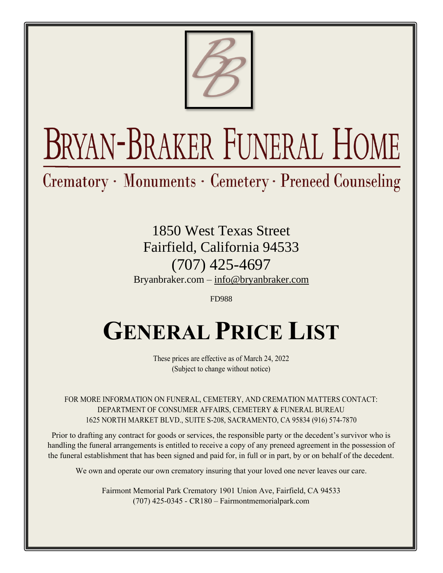

# BRYAN-BRAKER FUNERAL HOME

Crematory · Monuments · Cemetery · Preneed Counseling

1850 West Texas Street Fairfield, California 94533 (707) 425-4697 Bryanbraker.com – [info@bryanbraker.com](mailto:info@bryanbraker.com)

FD988

# **GENERAL PRICE LIST**

These prices are effective as of March 24, 2022 (Subject to change without notice)

FOR MORE INFORMATION ON FUNERAL, CEMETERY, AND CREMATION MATTERS CONTACT: DEPARTMENT OF CONSUMER AFFAIRS, CEMETERY & FUNERAL BUREAU 1625 NORTH MARKET BLVD., SUITE S-208, SACRAMENTO, CA 95834 (916) 574-7870

Prior to drafting any contract for goods or services, the responsible party or the decedent's survivor who is handling the funeral arrangements is entitled to receive a copy of any preneed agreement in the possession of the funeral establishment that has been signed and paid for, in full or in part, by or on behalf of the decedent.

We own and operate our own crematory insuring that your loved one never leaves our care.

Fairmont Memorial Park Crematory 1901 Union Ave, Fairfield, CA 94533 (707) 425-0345 - CR180 – Fairmontmemorialpark.com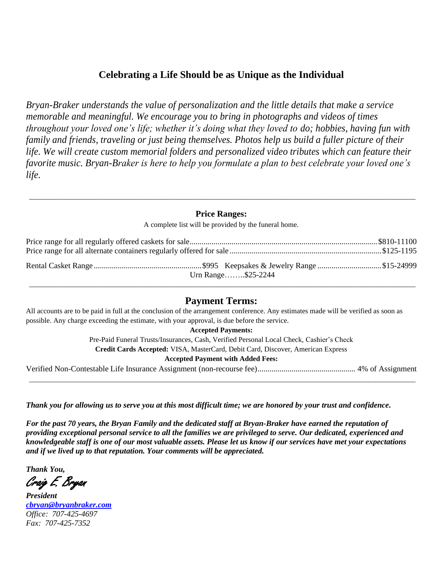# **Celebrating a Life Should be as Unique as the Individual**

*Bryan-Braker understands the value of personalization and the little details that make a service memorable and meaningful. We encourage you to bring in photographs and videos of times throughout your loved one's life; whether it's doing what they loved to do; hobbies, having fun with family and friends, traveling or just being themselves. Photos help us build a fuller picture of their life. We will create custom memorial folders and personalized video tributes which can feature their favorite music. Bryan-Braker is here to help you formulate a plan to best celebrate your loved one's life.* 

#### **Price Ranges:**

\_\_\_\_\_\_\_\_\_\_\_\_\_\_\_\_\_\_\_\_\_\_\_\_\_\_\_\_\_\_\_\_\_\_\_\_\_\_\_\_\_\_\_\_\_\_\_\_\_\_\_\_\_\_\_\_\_\_\_\_\_\_\_\_\_\_\_\_\_\_\_\_\_\_\_\_\_\_\_\_\_\_\_\_\_\_\_\_\_\_\_\_\_\_\_\_\_\_\_\_\_\_\_\_\_\_

A complete list will be provided by the funeral home.

|  | Urn Range\$25-2244 |  |
|--|--------------------|--|

# **Payment Terms:**

All accounts are to be paid in full at the conclusion of the arrangement conference. Any estimates made will be verified as soon as possible. Any charge exceeding the estimate, with your approval, is due before the service.

#### **Accepted Payments:**

Pre-Paid Funeral Trusts/Insurances, Cash, Verified Personal Local Check, Cashier's Check

**Credit Cards Accepted:** VISA, MasterCard, Debit Card, Discover, American Express

#### **Accepted Payment with Added Fees:**

Verified Non-Contestable Life Insurance Assignment (non-recourse fee)................................................. 4% of Assignment \_\_\_\_\_\_\_\_\_\_\_\_\_\_\_\_\_\_\_\_\_\_\_\_\_\_\_\_\_\_\_\_\_\_\_\_\_\_\_\_\_\_\_\_\_\_\_\_\_\_\_\_\_\_\_\_\_\_\_\_\_\_\_\_\_\_\_\_\_\_\_\_\_\_\_\_\_\_\_\_\_\_\_\_\_\_\_\_\_\_\_\_\_\_\_\_\_\_\_\_\_\_\_\_\_\_

*Thank you for allowing us to serve you at this most difficult time; we are honored by your trust and confidence.*

*For the past 70 years, the Bryan Family and the dedicated staff at Bryan-Braker have earned the reputation of providing exceptional personal service to all the families we are privileged to serve. Our dedicated, experienced and knowledgeable staff is one of our most valuable assets. Please let us know if our services have met your expectations and if we lived up to that reputation. Your comments will be appreciated.*

*Thank You,*

Craig E. Bryan

*President [cbryan@bryanbraker.com](mailto:cbryan@bryanbraker.com) Office: 707-425-4697 Fax: 707-425-7352*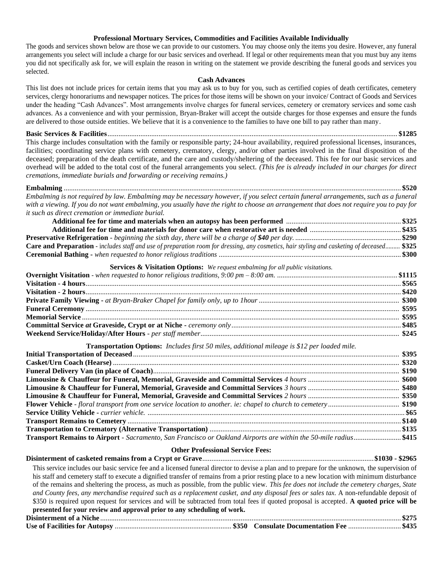#### **Professional Mortuary Services, Commodities and Facilities Available Individually**

The goods and services shown below are those we can provide to our customers. You may choose only the items you desire. However, any funeral arrangements you select will include a charge for our basic services and overhead. If legal or other requirements mean that you must buy any items you did not specifically ask for, we will explain the reason in writing on the statement we provide describing the funeral goods and services you selected.

#### **Cash Advances**

This list does not include prices for certain items that you may ask us to buy for you, such as certified copies of death certificates, cemetery services, clergy honorariums and newspaper notices. The prices for those items will be shown on your invoice/ Contract of Goods and Services under the heading "Cash Advances". Most arrangements involve charges for funeral services, cemetery or crematory services and some cash advances. As a convenience and with your permission, Bryan-Braker will accept the outside charges for those expenses and ensure the funds are delivered to those outside entities. We believe that it is a convenience to the families to have one bill to pay rather than many.

**Basic Services & Facilities**............................................................................................................................................................... **\$1285** This charge includes consultation with the family or responsible party; 24-hour availability, required professional licenses, insurances, facilities; coordinating service plans with cemetery, crematory, clergy, and/or other parties involved in the final disposition of the deceased; preparation of the death certificate, and the care and custody/sheltering of the deceased. This fee for our basic services and overhead will be added to the total cost of the funeral arrangements you select. *(This fee is already included in our charges for direct cremations, immediate burials and forwarding or receiving remains.)*

| Embalming is not required by law. Embalming may be necessary however, if you select certain funeral arrangements, such as a funeral                |  |
|----------------------------------------------------------------------------------------------------------------------------------------------------|--|
| with a viewing. If you do not want embalming, you usually have the right to choose an arrangement that does not require you to pay for             |  |
| it such as direct cremation or immediate burial.                                                                                                   |  |
|                                                                                                                                                    |  |
|                                                                                                                                                    |  |
|                                                                                                                                                    |  |
| <b>Care and Preparation</b> - includes staff and use of preparation room for dressing, any cosmetics, hair styling and casketing of deceased \$325 |  |
|                                                                                                                                                    |  |
|                                                                                                                                                    |  |

| <b>Services &amp; Visitation Options:</b> We request embalming for all public visitations.                                                                                                                                                                                                                          |  |
|---------------------------------------------------------------------------------------------------------------------------------------------------------------------------------------------------------------------------------------------------------------------------------------------------------------------|--|
| $\frac{1}{2}$ $\frac{1}{2}$ $\frac{1}{2}$ $\frac{1}{2}$ $\frac{1}{2}$ $\frac{1}{2}$ $\frac{1}{2}$ $\frac{1}{2}$ $\frac{1}{2}$ $\frac{1}{2}$ $\frac{1}{2}$ $\frac{1}{2}$ $\frac{1}{2}$ $\frac{1}{2}$ $\frac{1}{2}$ $\frac{1}{2}$ $\frac{1}{2}$ $\frac{1}{2}$ $\frac{1}{2}$ $\frac{1}{2}$ $\frac{1}{2}$ $\frac{1}{2}$ |  |
|                                                                                                                                                                                                                                                                                                                     |  |
|                                                                                                                                                                                                                                                                                                                     |  |
|                                                                                                                                                                                                                                                                                                                     |  |
|                                                                                                                                                                                                                                                                                                                     |  |
|                                                                                                                                                                                                                                                                                                                     |  |
|                                                                                                                                                                                                                                                                                                                     |  |
|                                                                                                                                                                                                                                                                                                                     |  |

| Transport Remains to Airport - Sacramento, San Francisco or Oakland Airports are within the 50-mile radius\$415 |
|-----------------------------------------------------------------------------------------------------------------|
|                                                                                                                 |

#### **Other Professional Service Fees:**

#### **Disinterment of casketed remains from a Crypt or Grave**..............................................................................................**\$1030 - \$2965**

This service includes our basic service fee and a licensed funeral director to devise a plan and to prepare for the unknown, the supervision of his staff and cemetery staff to execute a dignified transfer of remains from a prior resting place to a new location with minimum disturbance of the remains and sheltering the process, as much as possible, from the public view. *This fee does not include the cemetery charges, State and County fees, any merchandise required such as a replacement casket, and any disposal fees or sales tax.* A non-refundable deposit of \$350 is required upon request for services and will be subtracted from total fees if quoted proposal is accepted. **A quoted price will be presented for your review and approval prior to any scheduling of work. Disinterment of a Niche** ..................................................................................................................................................................... **\$275**

|--|--|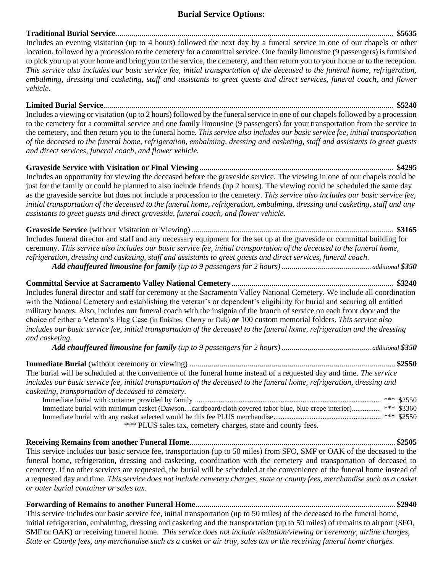#### **Burial Service Options:**

**Traditional Burial Service**........................................................................................................................................... **\$5635** Includes an evening visitation (up to 4 hours) followed the next day by a funeral service in one of our chapels or other location, followed by a procession to the cemetery for a committal service. One family limousine (9 passengers) is furnished to pick you up at your home and bring you to the service, the cemetery, and then return you to your home or to the reception. *This service also includes our basic service fee, initial transportation of the deceased to the funeral home, refrigeration, embalming, dressing and casketing, staff and assistants to greet guests and direct services, funeral coach, and flower vehicle.*

**Limited Burial Service**................................................................................................................................................. **\$5240** Includes a viewing or visitation (up to 2 hours) followed by the funeral service in one of our chapels followed by a procession to the cemetery for a committal service and one family limousine (9 passengers) for your transportation from the service to the cemetery, and then return you to the funeral home*. This service also includes our basic service fee, initial transportation of the deceased to the funeral home, refrigeration, embalming, dressing and casketing, staff and assistants to greet guests and direct services, funeral coach, and flower vehicle.*

**Graveside Service with Visitation or Final Viewing** ................................................................................................. **\$4295** Includes an opportunity for viewing the deceased before the graveside service. The viewing in one of our chapels could be just for the family or could be planned to also include friends (up 2 hours). The viewing could be scheduled the same day as the graveside service but does not include a procession to the cemetery. *This service also includes our basic service fee, initial transportation of the deceased to the funeral home, refrigeration, embalming, dressing and casketing, staff and any assistants to greet guests and direct graveside, funeral coach, and flower vehicle.* 

**Graveside Service** (without Visitation or Viewing) ..................................................................................................... **\$3165** Includes funeral director and staff and any necessary equipment for the set up at the graveside or committal building for ceremony. *This service also includes our basic service fee, initial transportation of the deceased to the funeral home, refrigeration, dressing and casketing, staff and assistants to greet guests and direct services, funeral coach. Add chauffeured limousine for family (up to 9 passengers for 2 hours)............................................. additional \$350*

**Committal Service at Sacramento Valley National Cemetery**................................................................................. **\$3240** Includes funeral director and staff for ceremony at the Sacramento Valley National Cemetery. We include all coordination with the National Cemetery and establishing the veteran's or dependent's eligibility for burial and securing all entitled military honors. Also, includes our funeral coach with the insignia of the branch of service on each front door and the choice of either a Veteran's Flag Case (in finishes: Cherry or Oak) *or* 100 custom memorial folders. *This service also includes our basic service fee, initial transportation of the deceased to the funeral home, refrigeration and the dressing and casketing.*

*Add chauffeured limousine for family (up to 9 passengers for 2 hours)............................................. additional \$350*

**Immediate Burial** (without ceremony or viewing) ....................................................................................................... **\$2550** The burial will be scheduled at the convenience of the funeral home instead of a requested day and time. *The service includes our basic service fee, initial transportation of the deceased to the funeral home, refrigeration, dressing and casketing, transportation of deceased to cemetery.*

Immediate burial with container provided by family ...................................................................................................... \*\*\* \$2550 Immediate burial with minimum casket (Dawson…cardboard/cloth covered tabor blue, blue crepe interior)................ \*\*\* \$3360 Immediate burial with any casket selected would be this fee PLUS merchandise........................................................... \*\*\* \$2550 \*\*\* PLUS sales tax, cemetery charges, state and county fees.

**Receiving Remains from another Funeral Home**....................................................................................................... **\$2505** This service includes our basic service fee, transportation (up to 50 miles) from SFO, SMF or OAK of the deceased to the funeral home, refrigeration, dressing and casketing, coordination with the cemetery and transportation of deceased to cemetery. If no other services are requested, the burial will be scheduled at the convenience of the funeral home instead of a requested day and time. *This service does not include cemetery charges, state or county fees, merchandise such as a casket or outer burial container or sales tax.*

**Forwarding of Remains to another Funeral Home**.................................................................................................... **\$2940** This service includes our basic service fee, initial transportation (up to 50 miles) of the deceased to the funeral home, initial refrigeration, embalming, dressing and casketing and the transportation (up to 50 miles) of remains to airport (SFO, SMF or OAK) or receiving funeral home. *This service* d*oes not include visitation/viewing or ceremony, airline charges, State or County fees, any merchandise such as a casket or air tray, sales tax or the receiving funeral home charges.*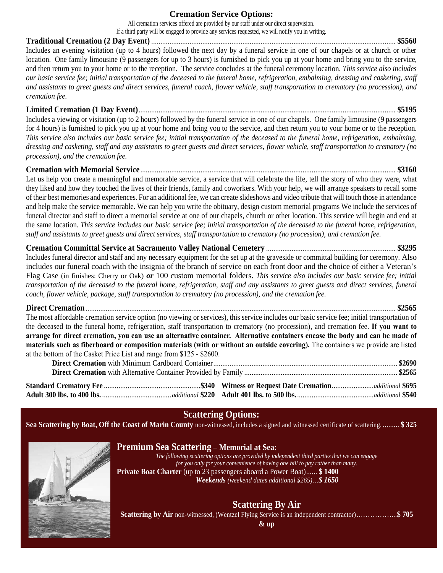#### **Cremation Service Options:**

All cremation services offered are provided by our staff under our direct supervision.

If a third party will be engaged to provide any services requested, we will notify you in writing.

**Traditional Cremation (2 Day Event)** ...................................................................................................................................... **\$5560** Includes an evening visitation (up to 4 hours) followed the next day by a funeral service in one of our chapels or at church or other location. One family limousine (9 passengers for up to 3 hours) is furnished to pick you up at your home and bring you to the service, and then return you to your home or to the reception. The service concludes at the funeral ceremony location. *This service also includes our basic service fee; initial transportation of the deceased to the funeral home, refrigeration, embalming, dressing and casketing, staff and assistants to greet guests and direct services, funeral coach, flower vehicle, staff transportation to crematory (no procession), and cremation fee.* 

#### **Limited Cremation (1 Day Event)**............................................................................................................................................. **\$5195**

Includes a viewing or visitation (up to 2 hours) followed by the funeral service in one of our chapels. One family limousine (9 passengers for 4 hours) is furnished to pick you up at your home and bring you to the service, and then return you to your home or to the reception. *This service also includes our basic service fee; initial transportation of the deceased to the funeral home, refrigeration, embalming, dressing and casketing, staff and any assistants to greet guests and direct services, flower vehicle, staff transportation to crematory (no procession), and the cremation fee.* 

#### **Cremation with Memorial Service**............................................................................................................................................ **\$3160**

Let us help you create a meaningful and memorable service, a service that will celebrate the life, tell the story of who they were, what they liked and how they touched the lives of their friends, family and coworkers. With your help, we will arrange speakers to recall some of their best memories and experiences. For an additional fee, we can create slideshows and video tribute that will touch those in attendance and help make the service memorable. We can help you write the obituary, design custom memorial programs We include the services of funeral director and staff to direct a memorial service at one of our chapels, church or other location. This service will begin and end at the same location. *This service includes our basic service fee; initial transportation of the deceased to the funeral home, refrigeration, staff and assistants to greet guests and direct services, staff transportation to crematory (no procession), and cremation fee.* 

**Cremation Committal Service at Sacramento Valley National Cemetery** ....................................................................... **\$3295** Includes funeral director and staff and any necessary equipment for the set up at the graveside or committal building for ceremony. Also includes our funeral coach with the insignia of the branch of service on each front door and the choice of either a Veteran's Flag Case (in finishes: Cherry or Oak) *or* 100 custom memorial folders. *This service also includes our basic service fee; initial transportation of the deceased to the funeral home, refrigeration, staff and any assistants to greet guests and direct services, funeral coach, flower vehicle, package, staff transportation to crematory (no procession), and the cremation fee.*

**Direct Cremation**.......................................................................................................................................................................... **\$2565** The most affordable cremation service option (no viewing or services), this service includes our basic service fee; initial transportation of the deceased to the funeral home, refrigeration, staff transportation to crematory (no procession), and cremation fee. **If you want to arrange for direct cremation, you can use an alternative container. Alternative containers encase the body and can be made of materials such as fiberboard or composition materials (with or without an outside covering).** The containers we provide are listed at the bottom of the Casket Price List and range from \$125 - \$2600.

# **Scattering Options:**

**Sea Scattering by Boat, Off the Coast of Marin County** non-witnessed, includes a signed and witnessed certificate of scattering. ......... **\$ 325**



### **Premium Sea Scattering – Memorial at Sea:**

*The following scattering options are provided by independent third parties that we can engage for you only for your convenience of having one bill to pay rather than many.* **Private Boat Charter** (up to 23 passengers aboard a Power Boat)...... **\$ 1400** *Weekends (weekend dates additional \$265)…\$ 1650*

# **Scattering By Air**

**Scattering by Air** non-witnessed, (Wentzel Flying Service is an independent contractor)……………...**\$ 705**

**& up**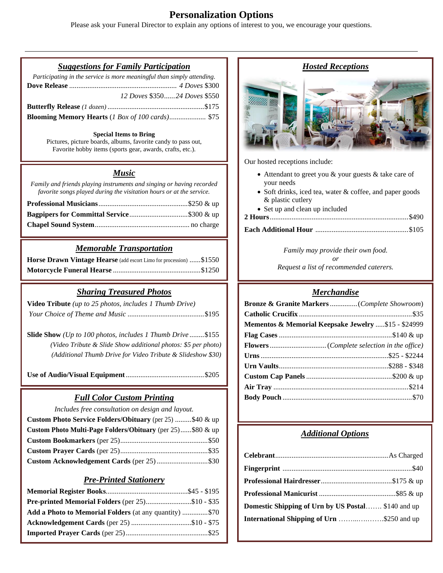# **Personalization Options**

Please ask your Funeral Director to explain any options of interest to you, we encourage your questions.

#### *Suggestions for Family Participation*

| Participating in the service is more meaningful than simply attending. |                              |
|------------------------------------------------------------------------|------------------------------|
|                                                                        |                              |
|                                                                        | 12 Doves \$35024 Doves \$550 |
|                                                                        |                              |
|                                                                        |                              |

#### **Special Items to Bring**

Pictures, picture boards, albums, favorite candy to pass out, Favorite hobby items (sports gear, awards, crafts, etc.).

#### *Music*

*Family and friends playing instruments and singing or having recorded favorite songs played during the visitation hours or at the service.* 

#### *Memorable Transportation*

| <b>Horse Drawn Vintage Hearse</b> (add escort Limo for procession) \$1550 |  |
|---------------------------------------------------------------------------|--|
|                                                                           |  |

#### *Sharing Treasured Photos*

**Video Tribute** *(up to 25 photos, includes 1 Thumb Drive) Your Choice of Theme and Music* ..........................................\$195

**Slide Show** *(Up to 100 photos, includes 1 Thumb Drive* ........\$155 *(Video Tribute & Slide Show additional photos: \$5 per photo) (Additional Thumb Drive for Video Tribute & Slideshow \$30)*

**Use of Audio/Visual Equipment**...........................................\$205

#### *Full Color Custom Printing*

*Includes free consultation on design and layout.* **Custom Photo Service Folders/Obituary** (per 25) .........\$40 & up **Custom Photo Multi-Page Folders/Obituary** (per 25)......\$80 & up

#### *Pre-Printed Stationery*

| Pre-printed Memorial Folders (per 25)\$10 - \$35              |  |
|---------------------------------------------------------------|--|
| <b>Add a Photo to Memorial Folders</b> (at any quantity) \$70 |  |
| <b>Acknowledgement Cards</b> (per 25) \$10 - \$75             |  |
|                                                               |  |



Our hosted receptions include:

- Attendant to greet you & your guests & take care of your needs
- Soft drinks, iced tea, water & coffee, and paper goods & plastic cutlery
- Set up and clean up included

|--|--|--|--|--|--|

*Family may provide their own food. or Request a list of recommended caterers.*

#### *Merchandise*

| <b>Mementos &amp; Memorial Keepsake Jewelry \$15 - \$24999</b> |  |
|----------------------------------------------------------------|--|
|                                                                |  |
|                                                                |  |
|                                                                |  |
|                                                                |  |
|                                                                |  |
|                                                                |  |
|                                                                |  |
|                                                                |  |

#### *Additional Options*

| Domestic Shipping of Urn by US Postal \$140 and up |  |
|----------------------------------------------------|--|
| International Shipping of Urn \$250 and up         |  |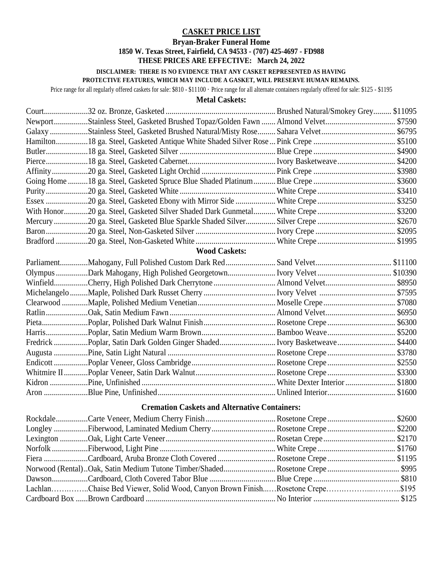#### **CASKET PRICE LIST**

#### **Bryan-Braker Funeral Home 1850 W. Texas Street, Fairfield, CA 94533 - (707) 425-4697 - FD988 THESE PRICES ARE EFFECTIVE: March 24, 2022**

#### **DISCLAIMER: THERE IS NO EVIDENCE THAT ANY CASKET REPRESENTED AS HAVING**

**PROTECTIVE FEATURES, WHICH MAY INCLUDE A GASKET, WILL PRESERVE HUMAN REMAINS.** 

Price range for all regularly offered caskets for sale: \$810 - \$11100 · Price range for all alternate containers regularly offered for sale: \$125 - \$1195

#### **Metal Caskets:**

| <b>Wood Caskets:</b> |  |
|----------------------|--|
|                      |  |
|                      |  |
|                      |  |
|                      |  |
|                      |  |
|                      |  |
|                      |  |
|                      |  |
|                      |  |
|                      |  |
|                      |  |
|                      |  |
|                      |  |
|                      |  |

#### **Cremation Caskets and Alternative Containers:**

| LachlanChaise Bed Viewer, Solid Wood, Canyon Brown FinishRosetone Crepe\$195 |  |
|------------------------------------------------------------------------------|--|
|                                                                              |  |